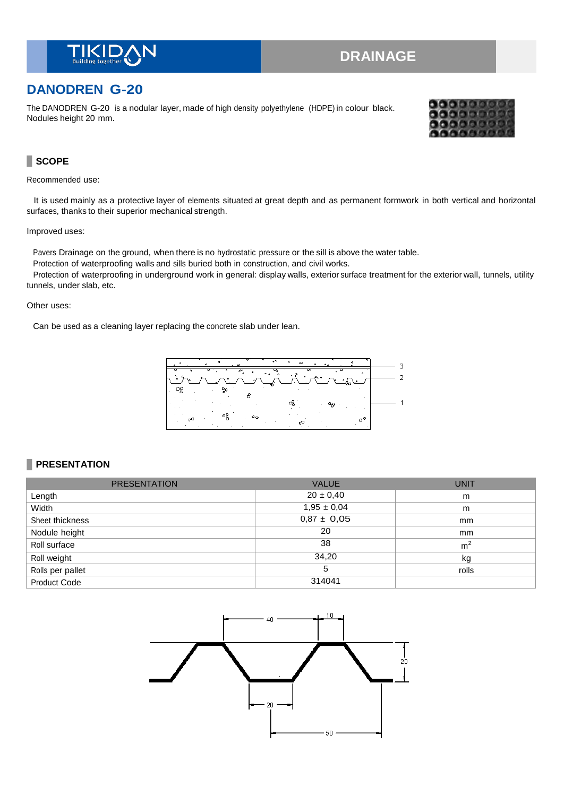

# **DRAINAGE**

# **DANODREN G-20**

The DANODREN G-20 is a nodular layer, made of high density polyethylene (HDPE) in colour black. Nodules height 20 mm.



### **SCOPE**

Recommended use:

It is used mainly as a protective layer of elements situated at great depth and as permanent formwork in both vertical and horizontal surfaces, thanks to their superior mechanical strength.

#### Improved uses:

Pavers Drainage on the ground, when there is no hydrostatic pressure or the sill is above the water table.

Protection of waterproofing walls and sills buried both in construction, and civil works.

Protection of waterproofing in underground work in general: display walls, exterior surface treatment for the exterior wall, tunnels, utility tunnels, under slab, etc.

#### Other uses:

Can be used as a cleaning layer replacing the concrete slab under lean.



### **PRESENTATION**

| <b>PRESENTATION</b> | <b>VALUE</b>    | <b>UNIT</b>    |
|---------------------|-----------------|----------------|
| Length              | $20 \pm 0,40$   | m              |
| Width               | $1,95 \pm 0,04$ | m              |
| Sheet thickness     | $0,87 \pm 0,05$ | mm             |
| Nodule height       | 20              | mm             |
| Roll surface        | 38              | m <sup>2</sup> |
| Roll weight         | 34,20           | kg             |
| Rolls per pallet    | 5               | rolls          |
| <b>Product Code</b> | 314041          |                |